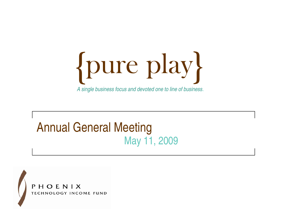pure play { { *A single business focus and devoted one to line of business*.

### **Annual General Meeting** May 11, 2009

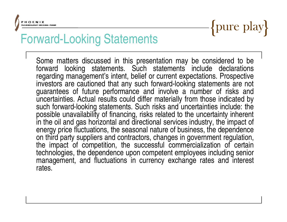## Forward-Looking Statements  $\left\{\text{pure play}\right\}$

Some matters discussed in this presentation may be considered to be forward looking statements. Such statements include declarations regarding management's intent, belief or current expectations. Prospective investors are cautioned that any such forward-looking statements are not guarantees of future performance and involve <sup>a</sup> number of risks and uncertainties. Actual results could differ materially from those indicated by such forward-looking statements. Such risks and uncertainties include: the possible unavailability of financing, risks related to the uncertainty inherent in the oil and gas horizontal and directional services industry, the im pact of energy price fluctuations, the seasonal nature of business, the dependence on third party suppliers and contractors, changes in government regulation, the impact of competition, the successful commercialization of certain technologies, the dependence upon competent employees including senior management, and fluctuations in currency exchange rates and interest rates.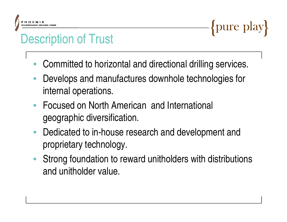## FECRIPTION FROM ENLISE THIS **DESCRIPTION Of Trust**

- •Committed to horizontal and directional drilling services.
- • Develops and manufactures downhole technologies for internal operations.
- Focused on North American and International geographic diversification.
- • Dedicated to in-house research and development and proprietary technology.
- • Strong foundation to reward unitholders with distributions and unitholder value.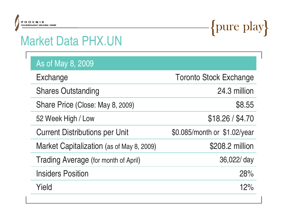## FINDENIX<br>Market Data PHX.UN PHX.UN

| As of May 8, 2009                         |                               |  |  |
|-------------------------------------------|-------------------------------|--|--|
| Exchange                                  | <b>Toronto Stock Exchange</b> |  |  |
| <b>Shares Outstanding</b>                 | 24.3 million                  |  |  |
| Share Price (Close: May 8, 2009)          | \$8.55                        |  |  |
| 52 Week High / Low                        | \$18.26 / \$4.70              |  |  |
| <b>Current Distributions per Unit</b>     | \$0.085/month or \$1.02/year  |  |  |
| Market Capitalization (as of May 8, 2009) | \$208.2 million               |  |  |
| Trading Average (for month of April)      | 36,022/ day                   |  |  |
| <b>Insiders Position</b>                  | 28%                           |  |  |
| Yield                                     | 12%                           |  |  |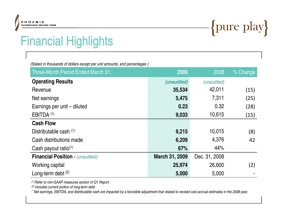## FINDERIX THEORAILY INCORRECTING<br>
Financial Highlights 
Financial Highlights

*(Stated in thousands of dollars except per unit amounts, and percentages )*

| Three-Month Period Ended March 31,      | 2009           | 2008          | % Change |
|-----------------------------------------|----------------|---------------|----------|
| <b>Operating Results</b>                | (unaudited)    | (unaudited)   |          |
| Revenue                                 | 35,534         | 42,011        | (15)     |
| Net earnings                            | 5,475          | 7,311         | (25)     |
| Earnings per unit – diluted             | 0.23           | 0.32          | (28)     |
| EBITDA <sup>(1)</sup>                   | 9,033          | 10,615        | (15)     |
| <b>Cash Flow</b>                        |                |               |          |
| Distributable cash (1)                  | 9,215          | 10,015        | (8)      |
| Cash distributions made                 | 6,209          | 4,376         | 42       |
| Cash payout ratio <sup>(1)</sup>        | 67%            | 44%           |          |
| <b>Financial Position - (unaudited)</b> | March 31, 2009 | Dec. 31, 2008 |          |
| Working capital                         | 25,974         | 26,600        | (2)      |
| Long-term debt $(2)$                    | 5,000          | 5,000         |          |

*(1) (1)Refer to non-GAAP measures section of Q1 Report .*

*(2) Includes current portion of long-term debt.*

"Net earnings, EBITDA, and distributable cash are impacted by a favorable adjustment that related to revised cost accrual estimates in the 2008-year.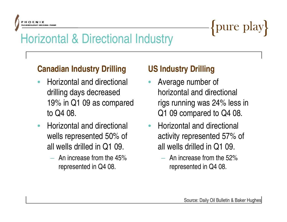### FILORATING HORNIX<br>Horizontal & Directional Industry {pure play}

#### **Canadian Industry Drilling**

- • Horizontal and directional drilling days decreased 19% in Q1 09 as compared to Q4 08.
- $\bullet$  Horizontal and directional wells represented 50% of all wells drilled in Q1 09.
	- An increase from the 45% represented in Q4 08.

#### **Industry Drilling US Industry Drilling**

- • Average number of horizontal and directional rigs running was 24% less in Q1 09 compared to Q4 08.
- • Horizontal and directional activity represented 57% of all wells drilled in Q1 09.
	- An increase from the 52% represented in Q4 08.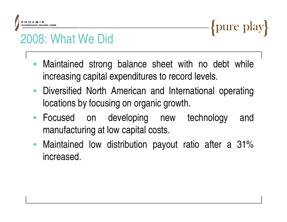### $\frac{P_{H O EN1X}}{P_{H O EN10000}P_{H ODE}P_{H N D}}$  { pure play }

- • Maintained strong balance sheet with no debt while increasing capital expenditures to record levels.
- Diversified North American and International operating locations by focusing on organic growth.
- Focused on developing new technology and manufacturing at low capital costs.
- $\bullet$  Maintained low distribution payout ratio after <sup>a</sup> 31% increased.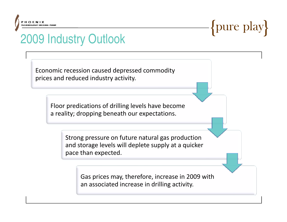### FINDENIX<br>
2009 Industry Outlook

Economic recession caused depressed commodity prices and reduced industry activity.

> Floor predications of drilling levels have become a reality; dropping beneath our expectations.

> > Strong pressure on future natural gas production and storage levels will deplete supply at <sup>a</sup> quicker pace than expected.

> > > Gas prices may, therefore, increase in 2009 with an associated increase in drilling activity.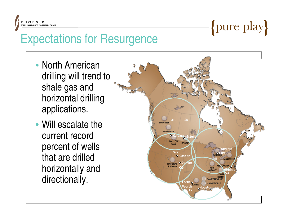### FROENIX<br>Expectations for Resurgence

- North American drilling will trend to shale gas and horizontal drilling applications.
- Will escalate the **AB AB AB AB SK** current record percent of wells that are drilled horizontally and

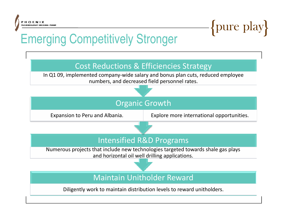### FROENIX<br>Emerging Competitively Stronger {pure play}